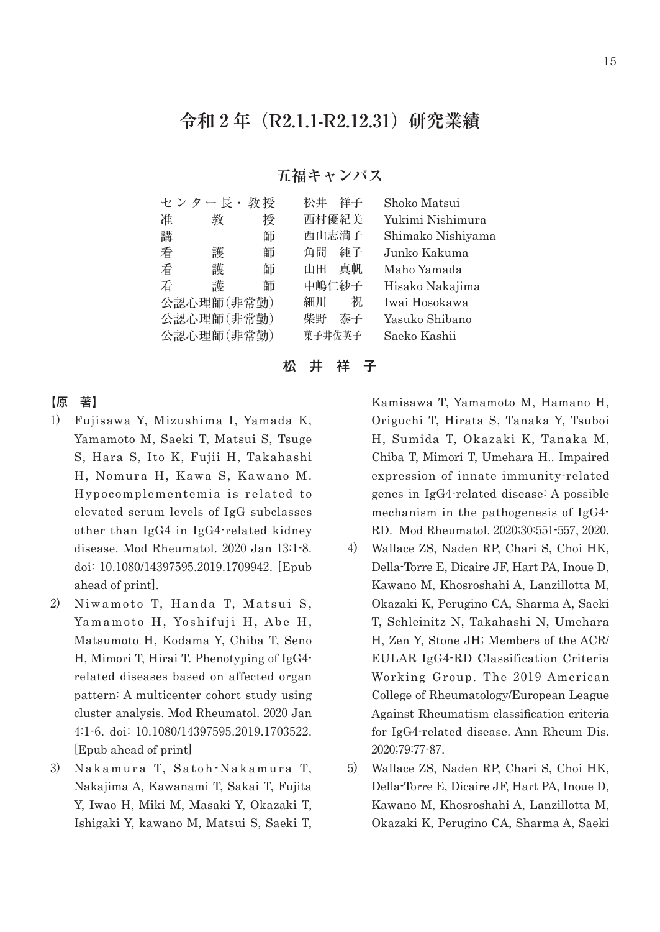## **令和 2 年(R2.1.1-R2.12.31)研究業績**

## **五福キャンパス**

|            | センター長・     | 教授 | 松井<br>祥子 | Shoko Matsui      |
|------------|------------|----|----------|-------------------|
| 准          | 教          | 授  | 西村優紀美    | Yukimi Nishimura  |
| 講          |            | 師  | 西山志満子    | Shimako Nishiyama |
| 看          | 護          | 師  | 角間<br>純子 | Junko Kakuma      |
| 看          | 護          | 師  | 真帆<br>山田 | Maho Yamada       |
| 看          | 護          | 師  | 中嶋仁紗子    | Hisako Nakajima   |
| 公認心理師(非常勤) |            |    | 祝<br>細川  | Iwai Hosokawa     |
| 公認心理師(非常勤) |            |    | 柴野<br>泰子 | Yasuko Shibano    |
|            | 公認心理師(非常勤) |    | 菓子井佐英子   | Saeko Kashii      |
|            |            |    |          |                   |

松 井 祥 子

## 【原 著】

- 1) Fujisawa Y, Mizushima I, Yamada K, Yamamoto M, Saeki T, Matsui S, Tsuge S, Hara S, Ito K, Fujii H, Takahashi H, Nomura H, Kawa S, Kawano M. Hypocomplementemia is related to elevated serum levels of IgG subclasses other than IgG4 in IgG4-related kidney disease. Mod Rheumatol. 2020 Jan 13:1-8. doi: 10.1080/14397595.2019.1709942. [Epub ahead of print].
- 2) Niwamoto T, Handa T, Matsui S, Yamamoto H, Yoshifuji H, Abe H, Matsumoto H, Kodama Y, Chiba T, Seno H, Mimori T, Hirai T. Phenotyping of IgG4 related diseases based on affected organ pattern: A multicenter cohort study using cluster analysis. Mod Rheumatol. 2020 Jan 4:1-6. doi: 10.1080/14397595.2019.1703522. [Epub ahead of print]
- 3) Nakamura T, Satoh-Nakamura T, Nakajima A, Kawanami T, Sakai T, Fujita Y, Iwao H, Miki M, Masaki Y, Okazaki T, Ishigaki Y, kawano M, Matsui S, Saeki T,

Kamisawa T, Yamamoto M, Hamano H, Origuchi T, Hirata S, Tanaka Y, Tsuboi H, Sumida T, Okazaki K, Tanaka M, Chiba T, Mimori T, Umehara H.. Impaired expression of innate immunity-related genes in IgG4-related disease: A possible mechanism in the pathogenesis of IgG4- RD. Mod Rheumatol. 2020;30:551-557, 2020.

- 4) Wallace ZS, Naden RP, Chari S, Choi HK, Della-Torre E, Dicaire JF, Hart PA, Inoue D, Kawano M, Khosroshahi A, Lanzillotta M, Okazaki K, Perugino CA, Sharma A, Saeki T, Schleinitz N, Takahashi N, Umehara H, Zen Y, Stone JH; Members of the ACR/ EULAR IgG4-RD Classification Criteria Working Group. The 2019 American College of Rheumatology/European League Against Rheumatism classification criteria for IgG4-related disease. Ann Rheum Dis. 2020;79:77-87.
- 5) Wallace ZS, Naden RP, Chari S, Choi HK, Della-Torre E, Dicaire JF, Hart PA, Inoue D, Kawano M, Khosroshahi A, Lanzillotta M, Okazaki K, Perugino CA, Sharma A, Saeki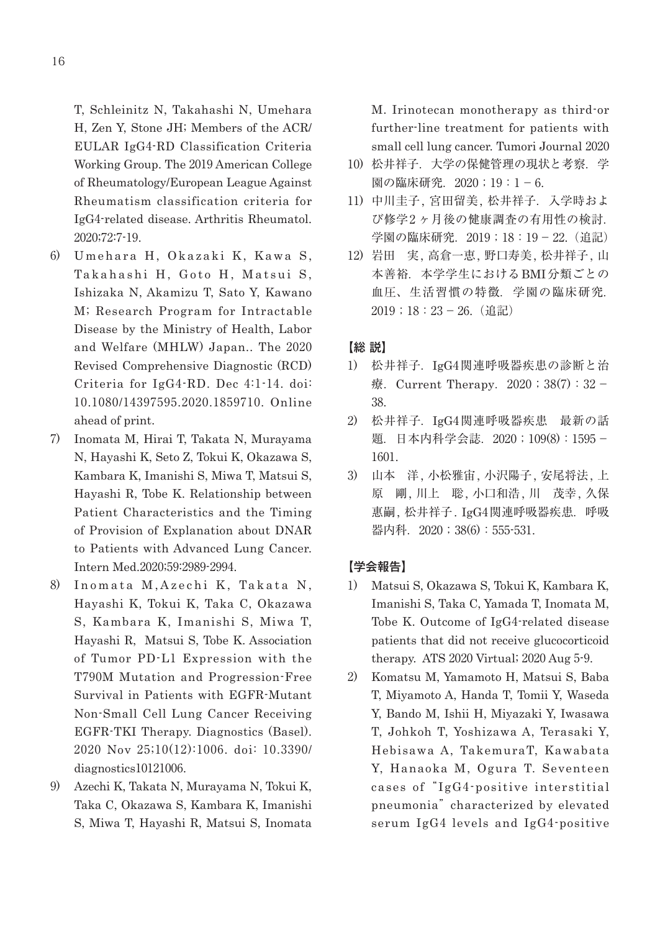T, Schleinitz N, Takahashi N, Umehara H, Zen Y, Stone JH; Members of the ACR/ EULAR IgG4-RD Classification Criteria Working Group. The 2019 American College of Rheumatology/European League Against Rheumatism classification criteria for IgG4-related disease. Arthritis Rheumatol. 2020;72:7-19.

- 6) Umehara H, Okazaki K, Kawa S, Takahashi H, Goto H, Matsui S, Ishizaka N, Akamizu T, Sato Y, Kawano M; Research Program for Intractable Disease by the Ministry of Health, Labor and Welfare (MHLW) Japan.. The 2020 Revised Comprehensive Diagnostic (RCD) Criteria for IgG4-RD. Dec 4:1-14. doi: 10.1080/14397595.2020.1859710. Online ahead of print.
- 7) Inomata M, Hirai T, Takata N, Murayama N, Hayashi K, Seto Z, Tokui K, Okazawa S, Kambara K, Imanishi S, Miwa T, Matsui S, Hayashi R, Tobe K. Relationship between Patient Characteristics and the Timing of Provision of Explanation about DNAR to Patients with Advanced Lung Cancer. Intern Med.2020;59:2989-2994.
- 8) Inomata M,Azechi K, Takata N, Hayashi K, Tokui K, Taka C, Okazawa S, Kambara K, Imanishi S, Miwa T, Hayashi R, Matsui S, Tobe K. Association of Tumor PD-L1 Expression with the T790M Mutation and Progression-Free Survival in Patients with EGFR-Mutant Non-Small Cell Lung Cancer Receiving EGFR-TKI Therapy. Diagnostics (Basel). 2020 Nov 25;10(12):1006. doi: 10.3390/ diagnostics10121006.
- 9) Azechi K, Takata N, Murayama N, Tokui K, Taka C, Okazawa S, Kambara K, Imanishi S, Miwa T, Hayashi R, Matsui S, Inomata

M. Irinotecan monotherapy as third-or further-line treatment for patients with small cell lung cancer. Tumori Journal 2020

- 10) 松井祥子.大学の保健管理の現状と考察.学 園の臨床研究. 2020;19:1-6.
- 11) 中川圭子, 宮田留美, 松井祥子.入学時およ び修学2ヶ月後の健康調査の有用性の検討. 学園の臨床研究. 2019;18:19-22. (追記)
- 12) 岩田 実, 高倉一恵, 野口寿美, 松井祥子, 山 本善裕. 本学学生におけるBMI分類ごとの 血圧、生活習慣の特徴.学園の臨床研究. 2019;18:23- 26.(追記)

## 【総 説】

- 1) 松井祥子.IgG4関連呼吸器疾患の診断と治 療. Current Therapy. 2020; 38(7): 32 -38.
- 2) 松井祥子.IgG4関連呼吸器疾患 最新の話 題. 日本内科学会誌. 2020;109(8):1595-1601.
- 3) 山本 洋, 小松雅宙, 小沢陽子, 安尾将法, 上 原 剛, 川上 聡, 小口和浩, 川 茂幸, 久保 惠嗣, 松井祥子. IgG4関連呼吸器疾患.呼吸 器内科. 2020;38(6):555-531.

## 【学会報告】

- 1) Matsui S, Okazawa S, Tokui K, Kambara K, Imanishi S, Taka C, Yamada T, Inomata M, Tobe K. Outcome of IgG4-related disease patients that did not receive glucocorticoid therapy. ATS 2020 Virtual; 2020 Aug 5-9.
- 2) Komatsu M, Yamamoto H, Matsui S, Baba T, Miyamoto A, Handa T, Tomii Y, Waseda Y, Bando M, Ishii H, Miyazaki Y, Iwasawa T, Johkoh T, Yoshizawa A, Terasaki Y, Hebisawa A, TakemuraT, Kawabata Y, Hanaoka M, Ogura T. Seventeen cases of "IgG4-positive interstitial pneumonia" characterized by elevated serum IgG4 levels and IgG4-positive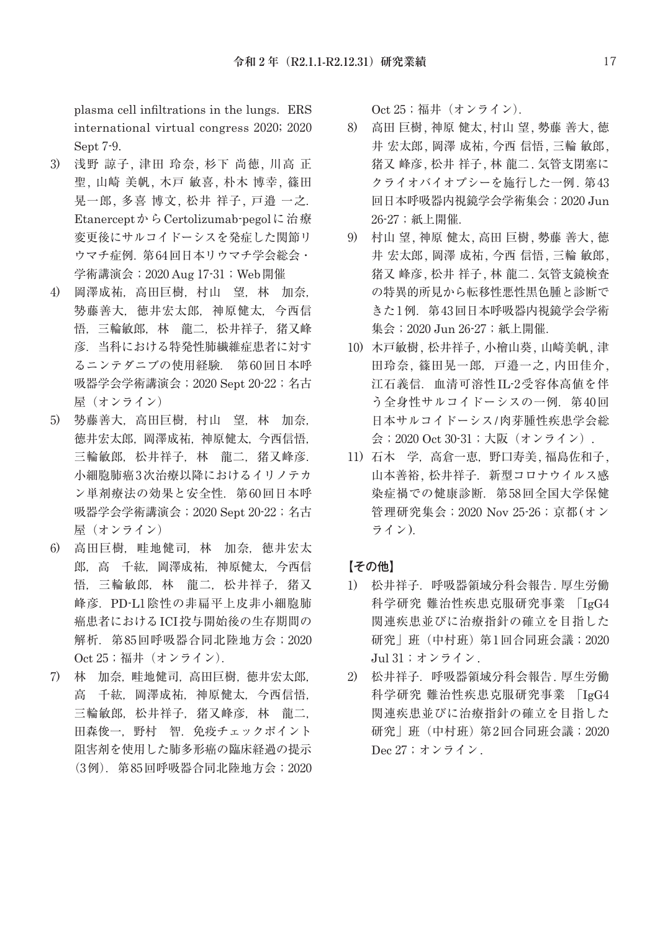plasma cell infiltrations in the lungs. ERS international virtual congress 2020; 2020 Sept 7-9.

- 3) 浅野 諒子, 津田 玲奈, 杉下 尚徳, 川高 正 聖, 山崎 美帆, 木戸 敏喜, 朴木 博幸, 篠田 晃一郎, 多喜 博文, 松井 祥子, 戸邉 一之. Etanercept から Certolizumab-pegolに治療 変更後にサルコイドーシスを発症した関節リ ウマチ症例.第 64回日本リウマチ学会総会・ 学術講演会;2020 Aug 17-31;Web開催
- 4) 岡澤成祐,高田巨樹,村山 望,林 加奈, 㔟藤善大,徳井宏太郎,神原健太,今西信 悟,三輪敏郎,林 龍二,松井祥子,猪又峰 彦.当科における特発性肺繊維症患者に対す るニンテダニブの使用経験. 第 60回日本呼 吸器学会学術講演会;2020 Sept 20-22;名古 屋 (オンライン)
- 5) 勢藤善大, 高田巨樹, 村山 望, 林 加奈, 徳井宏太郎,岡澤成祐,神原健太,今西信悟, 三輪敏郎,松井祥子,林 龍二,猪又峰彦. 小細胞肺癌 3次治療以降におけるイリノテカ ン単剤療法の効果と安全性.第 60回日本呼 吸器学会学術講演会; 2020 Sept 20-22; 名古 屋(オンライン)
- 6) 高田巨樹, 畦地健司, 林 加奈, 徳井宏太 郎,高 千紘,岡澤成祐,神原健太,今西信 悟,三輪敏郎,林龍二,松井祥子,猪又 峰彦.PD-L1陰性の非扁平上皮非小細胞肺 癌患者におけるICI投与開始後の生存期間の 解析.第 85回呼吸器合同北陸地方会;2020 Oct 25;福井 (オンライン).
- 7) 林 加奈,畦地健司,高田巨樹,徳井宏太郎, 高 千紘,岡澤成祐,神原健太,今西信悟, 三輪敏郎, 松井祥子, 猪又峰彦, 林 龍二, 田森俊一,野村 智.免疫チェックポイント 阻害剤を使用した肺多形癌の臨床経過の提示 (3例).第 85回呼吸器合同北陸地方会;2020

Oct 25;福井 (オンライン).

- 8) 高田 巨樹, 神原 健太, 村山 望, 勢藤 善大, 徳 井 宏太郎, 岡澤 成祐, 今西 信悟, 三輪 敏郎, 猪又 峰彦, 松井 祥子, 林 龍二. 気管支閉塞に クライオバイオプシーを施行した一例. 第 43 回日本呼吸器内視鏡学会学術集会;2020 Jun 26-27;紙上開催.
- 9) 村山 望, 神原 健太, 高田 巨樹, 勢藤 善大, 徳 井 宏太郎, 岡澤 成祐, 今西 信悟, 三輪 敏郎, 猪又 峰彦, 松井 祥子, 林 龍二. 気管支鏡検査 の特異的所見から転移性悪性黒色腫と診断で きた1例. 第43回日本呼吸器内視鏡学会学術 集会; 2020 Jun 26-27; 紙上開催.
- 10) 木戸敏樹, 松井祥子, 小檜山葵, 山崎美帆, 津 田玲奈, 篠田晃一郎, 戸邉一之, 内田佳介, 江石義信.血清可溶性IL-2受容体高値を伴 う全身性サルコイドーシスの一例. 第40回 日本サルコイドーシス/肉芽腫性疾患学会総 会;2020 Oct 30-31;大阪(オンライン).
- 11) 石木 学, 高倉一恵, 野口寿美, 福島佐和子, 山本善裕, 松井祥子. 新型コロナウイルス感 染症禍での健康診断. 第58回全国大学保健 管理研究集会;2020 Nov 25-26;京都(オン ライン).

## 【その他】

- 1) 松井祥子.呼吸器領域分科会報告. 厚生労働 科学研究 難治性疾患克服研究事業 「IgG4 関連疾患並びに治療指針の確立を目指した 研究 | 班(中村班) 第1回合同班会議; 2020 Jul 31;オンライン.
- 2) 松井祥子.呼吸器領域分科会報告. 厚生労働 科学研究 難治性疾患克服研究事業 「IgG4 関連疾患並びに治療指針の確立を目指した 研究 | 班 (中村班) 第 2回合同班会議; 2020 Dec 27;オンライン.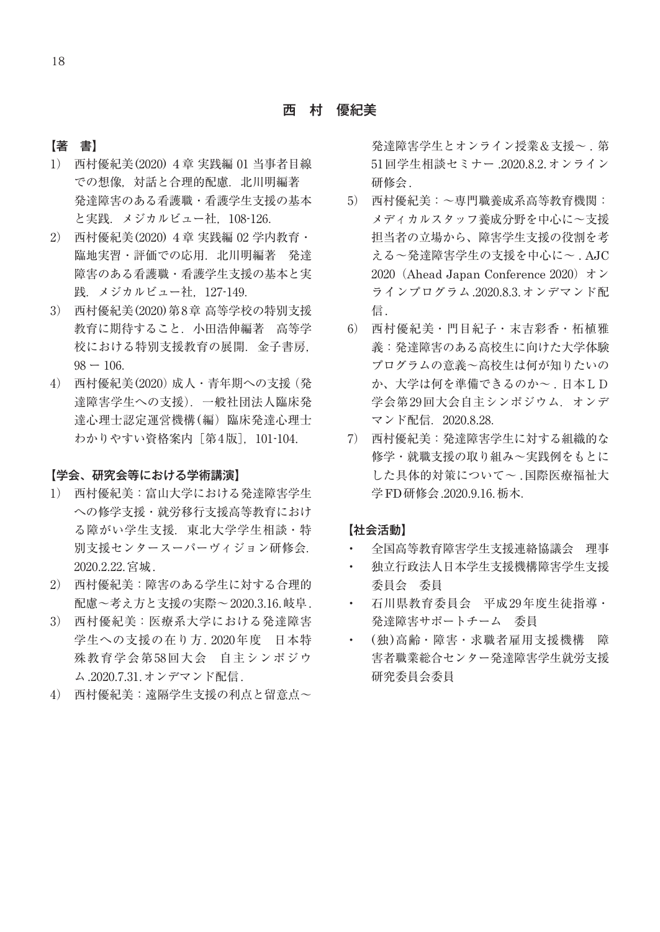#### 【著 書】

- 1) 西村優紀美(2020) 4章 実践編 01 当事者目線 での想像,対話と合理的配慮.北川明編著 発達障害のある看護職・看護学生支援の基本 と実践.メジカルビュー社,108-126.
- 2) 西村優紀美(2020) 4章 実践編 02 学内教育・ 臨地実習・評価での応用.北川明編著 発達 障害のある看護職・看護学生支援の基本と実 践.メジカルビュー社,127-149.
- 3) 西村優紀美(2020)第8章 高等学校の特別支援 教育に期待すること.小田浩伸編著 高等学 校における特別支援教育の展開. 金子書房.  $98 - 106$ .
- 4) 西村優紀美(2020)成人・青年期への支援(発 達障害学生への支援).一般社団法人臨床発 達心理士認定運営機構(編)臨床発達心理士 わかりやすい資格案内「第4版]. 101-104.

#### 【学会、研究会等における学術講演】

- 1) 西村優紀美:富山大学における発達障害学生 への修学支援・就労移行支援高等教育におけ る障がい学生支援. 東北大学学生相談・特 別支援センタースーパーヴィジョン研修会. 2020.2.22.宮城.
- 2) 西村優紀美:障害のある学生に対する合理的 配慮~考え方と支援の実際~ 2020.3.16.岐阜.
- 3) 西村優紀美:医療系大学における発達障害 学生への支援の在り方. 2020年度 日本特 殊教育学会第58回大会 自主シンポジウ ム.2020.7.31.オンデマンド配信.
- 4) 西村優紀美:遠隔学生支援の利点と留意点~

発達障害学生とオンライン授業&支援~. 第 51回学生相談セミナー .2020.8.2.オンライン 研修会.

- 5) 西村優紀美:~専門職養成系高等教育機関: メディカルスタッフ養成分野を中心に~支援 担当者の立場から、障害学生支援の役割を考 える~発達障害学生の支援を中心に~ . AJC 2020 (Ahead Japan Conference 2020)  $\star \check{\sim}$ ラインプログラム.2020.8.3.オンデマンド配 信.
- 6) 西村優紀美・門目紀子・末吉彩香・柘植雅 義:発達障害のある高校生に向けた大学体験 プログラムの意義~高校生は何が知りたいの か、大学は何を準備できるのか~ . 日本LD 学会第29回大会自主シンポジウム. オンデ マンド配信.2020.8.28.
- 7) 西村優紀美:発達障害学生に対する組織的な 修学・就職支援の取り組み~実践例をもとに した具体的対策について~ .国際医療福祉大 学FD研修会.2020.9.16.栃木.

## 【社会活動】

- 全国高等教育障害学生支援連絡協議会 理事
- 独立行政法人日本学生支援機構障害学生支援 委員会 委員
- 石川県教育委員会 平成 29年度生徒指導・ 発達障害サポートチーム 委員
- (独)高齢・障害・求職者雇用支援機構 障 害者職業総合センター発達障害学生就労支援 研究委員会委員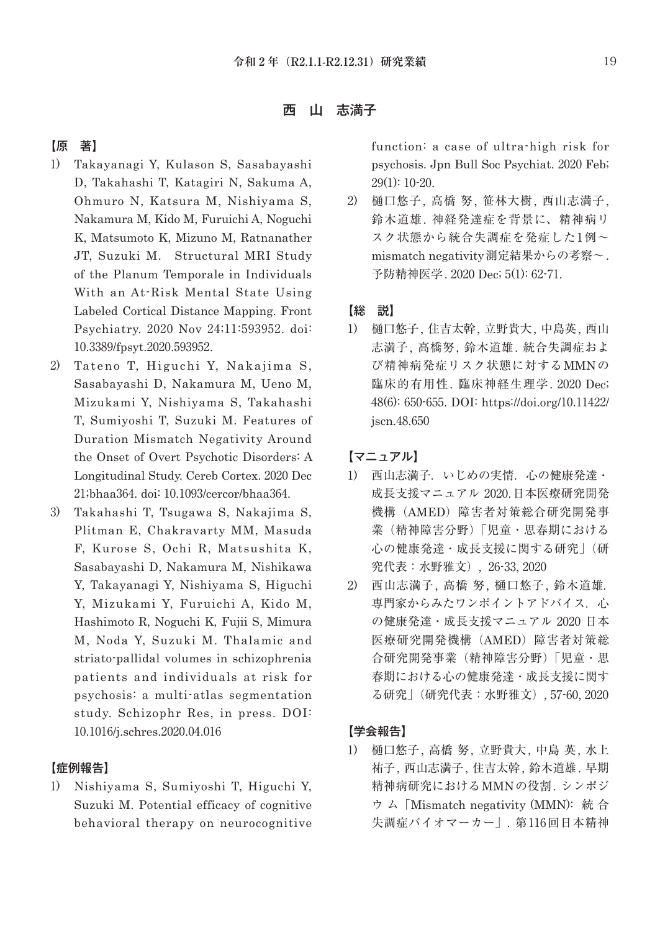西 山 志満子

## 【原 著】

- 1) Takayanagi Y, Kulason S, Sasabayashi D, Takahashi T, Katagiri N, Sakuma A, Ohmuro N, Katsura M, Nishiyama S, Nakamura M, Kido M, Furuichi A, Noguchi K, Matsumoto K, Mizuno M, Ratnanather JT, Suzuki M. Structural MRI Study of the Planum Temporale in Individuals With an At-Risk Mental State Using Labeled Cortical Distance Mapping. Front Psychiatry. 2020 Nov 24;11:593952. doi: 10.3389/fpsyt.2020.593952.
- 2) Tateno T, Higuchi Y, Nakajima S, Sasabayashi D, Nakamura M, Ueno M, Mizukami Y, Nishiyama S, Takahashi T, Sumiyoshi T, Suzuki M. Features of Duration Mismatch Negativity Around the Onset of Overt Psychotic Disorders: A Longitudinal Study. Cereb Cortex. 2020 Dec 21;bhaa364. doi: 10.1093/cercor/bhaa364.
- 3) Takahashi T, Tsugawa S, Nakajima S, Plitman E, Chakravarty MM, Masuda F, Kurose S, Ochi R, Matsushita K, Sasabayashi D, Nakamura M, Nishikawa Y, Takayanagi Y, Nishiyama S, Higuchi Y, Mizukami Y, Furuichi A, Kido M, Hashimoto R, Noguchi K, Fujii S, Mimura M, Noda Y, Suzuki M. Thalamic and striato-pallidal volumes in schizophrenia patients and individuals at risk for psychosis: a multi-atlas segmentation study. Schizophr Res, in press. DOI: 10.1016/j.schres.2020.04.016

#### 【症例報告】

1) Nishiyama S, Sumiyoshi T, Higuchi Y, Suzuki M. Potential efficacy of cognitive behavioral therapy on neurocognitive

function: a case of ultra-high risk for psychosis. Jpn Bull Soc Psychiat. 2020 Feb; 29(1): 10-20.

2) 樋口悠子, 高橋 努, 笹林大樹, 西山志満子, 鈴木道雄. 神経発達症を背景に、精神病リ スク状態から統合失調症を発症した1例~ mismatch negativity測定結果からの考察~. 予防精神医学. 2020 Dec; 5(1): 62-71.

## 【総 説】

1) 樋口悠子, 住吉太幹, 立野貴大, 中島英, 西山 志満子, 高橋努, 鈴木道雄. 統合失調症およ び精神病発症リスク状態に対するMMNの 臨床的有用性. 臨床神経生理学. 2020 Dec; 48(6): 650-655. DOI: https://doi.org/10.11422/ jscn.48.650

【マニュアル】

- 1) 西山志満子. いじめの実情. 心の健康発達· 成長支援マニュアル 2020.日本医療研究開発 機構(AMED)障害者対策総合研究開発事 業(精神障害分野)「児童・思春期における 心の健康発達・成長支援に関する研究」(研 究代表:水野雅文), 26-33, 2020
- 2) 西山志満子, 高橋 努, 樋口悠子, 鈴木道雄. 専門家からみたワンポイントアドバイス.心 の健康発達・成長支援マニュアル 2020 日本 医療研究開発機構(AMED)障害者対策総 合研究開発事業(精神障害分野)「児童・思 春期における心の健康発達・成長支援に関す る研究」(研究代表:水野雅文), 57-60, 2020

## 【学会報告】

1) 樋口悠子, 高橋 努, 立野貴大, 中島 英, 水上 祐子, 西山志満子, 住吉太幹, 鈴木道雄. 早期 精神病研究におけるMMNの役割. シンポジ ウ ム「Mismatch negativity (MMN): 統 合 失調症バイオマーカー」. 第 116回日本精神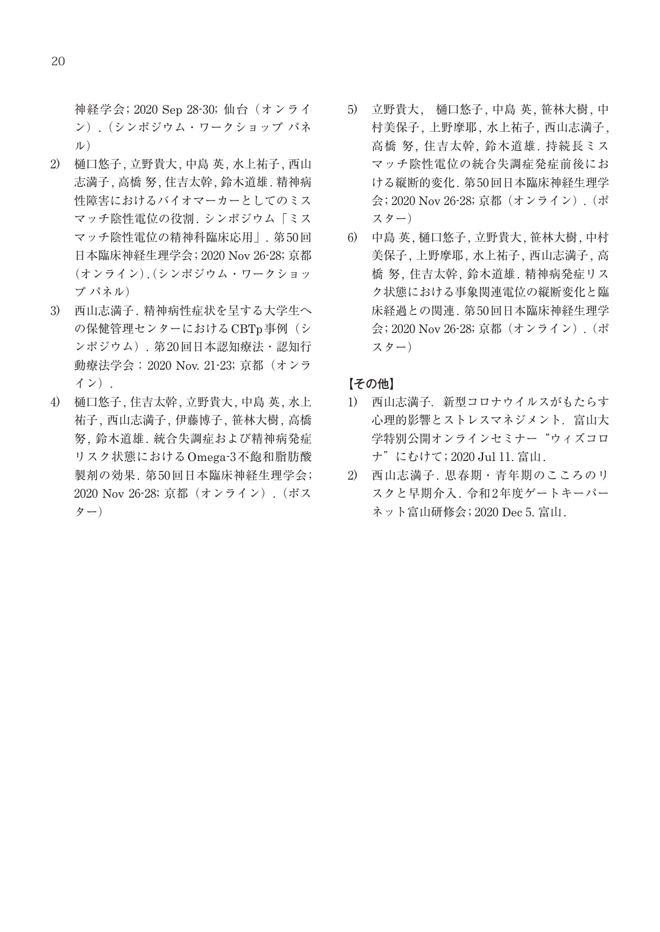神経学会; 2020 Sep 28-30; 仙台(オンライ ン).(シンポジウム・ワークショップ パネ ル)

- 2) 樋口悠子, 立野貴大, 中島 英, 水上祐子, 西山 志満子, 高橋 努, 住吉太幹, 鈴木道雄. 精神病 性障害におけるバイオマーカーとしてのミス マッチ陰性電位の役割. シンポジウム「ミス マッチ陰性電位の精神科臨床応用」. 第 50回 日本臨床神経生理学会; 2020 Nov 26-28; 京都 (オンライン)(シンポジウム・ワークショッ . プ パネル)
- 3) 西山志満子. 精神病性症状を呈する大学生へ の保健管理センターにおけるCBTp事例(シ ンポジウム). 第 20回日本認知療法・認知行 動療法学会;2020 Nov. 21-23; 京都(オンラ イン).
- 4) 樋口悠子, 住吉太幹, 立野貴大, 中島 英, 水上 祐子, 西山志満子, 伊藤博子, 笹林大樹, 高橋 努, 鈴木道雄. 統合失調症および精神病発症 リスク状態におけるOmega-3不飽和脂肪酸 製剤の効果. 第 50回日本臨床神経生理学会; 2020 Nov 26-28; 京都(オンライン).(ポス ター)
- 5) 立野貴大, 樋口悠子, 中島 英, 笹林大樹, 中 村美保子, 上野摩耶, 水上祐子, 西山志満子, 高橋 努, 住吉太幹, 鈴木道雄. 持続長ミス マッチ陰性電位の統合失調症発症前後にお ける縦断的変化. 第 50回日本臨床神経生理学 会; 2020 Nov 26-28; 京都(オンライン).(ポ スター)
- 6) 中島 英, 樋口悠子, 立野貴大, 笹林大樹, 中村 美保子, 上野摩耶, 水上祐子, 西山志満子, 高 橋 努, 住吉太幹, 鈴木道雄. 精神病発症リス ク状態における事象関連電位の縦断変化と臨 床経過との関連. 第 50回日本臨床神経生理学 会; 2020 Nov 26-28; 京都(オンライン).(ポ スター)

## 【その他】

- 1) 西山志満子. 新型コロナウイルスがもたらす 心理的影響とストレスマネジメント.富山大 学特別公開オンラインセミナー"ウィズコロ ナ"にむけて; 2020 Jul 11. 富山.
- 2) 西山志満子. 思春期・青年期のこころのリ スクと早期介入. 令和2年度ゲートキーパー ネット富山研修会; 2020 Dec 5. 富山.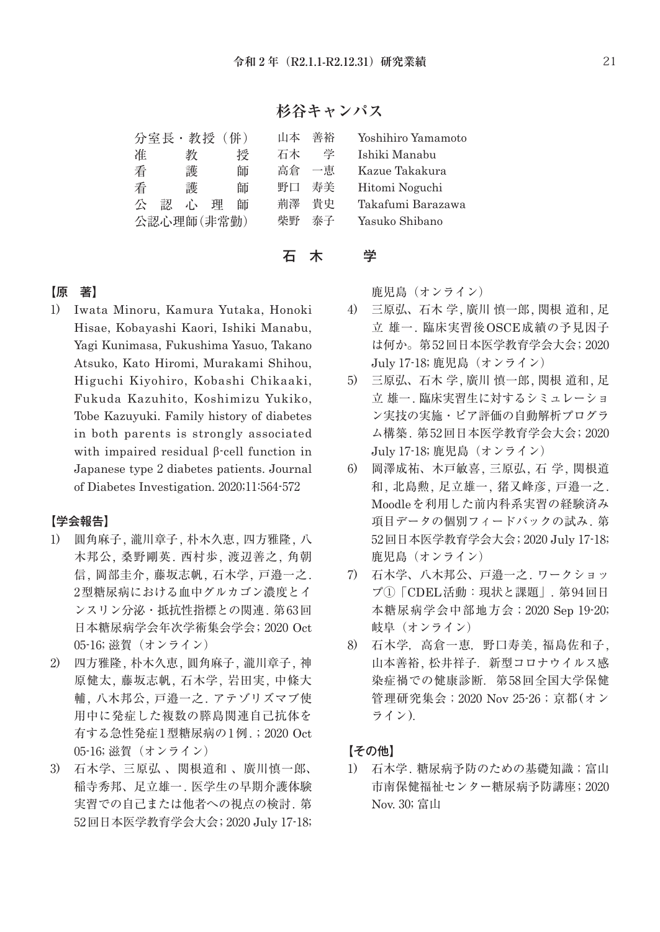## **杉谷キャンパス**

| 分室長 · 教授 (併)     |    | 山本 | 善裕             | Yoshihiro Yamamoto |
|------------------|----|----|----------------|--------------------|
| 准<br>教           | 授  | 石木 | 学              | Ishiki Manabu      |
| 看<br>護           | 師  | 高倉 | 一恵             | Kazue Takakura     |
| 看<br>護           | 師  | 野口 | 寿美             | Hitomi Noguchi     |
| 穴<br>心<br>理<br>認 | 師  | 荊澤 | 貴史             | Takafumi Barazawa  |
| 公認心理師(非常勤)       | 柴野 | 泰子 | Yasuko Shibano |                    |

石 木 学

## 【原 著】

1) Iwata Minoru, Kamura Yutaka, Honoki Hisae, Kobayashi Kaori, Ishiki Manabu, Yagi Kunimasa, Fukushima Yasuo, Takano Atsuko, Kato Hiromi, Murakami Shihou, Higuchi Kiyohiro, Kobashi Chikaaki, Fukuda Kazuhito, Koshimizu Yukiko, Tobe Kazuyuki. Family history of diabetes in both parents is strongly associated with impaired residual β-cell function in Japanese type 2 diabetes patients. Journal of Diabetes Investigation. 2020;11:564-572

## 【学会報告】

- 1) 圓角麻子, 瀧川章子, 朴木久恵, 四方雅隆, 八 木邦公, 桑野剛英. 西村歩, 渡辺善之, 角朝 信, 岡部圭介, 藤坂志帆, 石木学, 戸邉一之. 2型糖尿病における血中グルカゴン濃度とイ ンスリン分泌・抵抗性指標との関連. 第 63回 日本糖尿病学会年次学術集会学会; 2020 Oct 05-16; 滋賀(オンライン)
- 2) 四方雅隆, 朴木久恵, 圓角麻子, 瀧川章子, 神 原健太, 藤坂志帆, 石木学, 岩田実, 中條大 輔, 八木邦公, 戸邉一之. アテゾリズマブ使 用中に発症した複数の膵島関連自己抗体を 有する急性発症 1型糖尿病の 1例. ; 2020 Oct 05-16; 滋賀(オンライン)
- 3) 石木学、三原弘 、関根道和 、廣川慎一郎、 稲寺秀邦、足立雄一. 医学生の早期介護体験 実習での自己または他者への視点の検討. 第 52回日本医学教育学会大会; 2020 July 17-18;

鹿児島(オンライン)

- 4) 三原弘、石木 学, 廣川 慎一郎, 関根 道和, 足 立 雄一. 臨床実習後OSCE成績の予見因子 は何か。第 52回日本医学教育学会大会; 2020 July 17-18; 鹿児島(オンライン)
- 5) 三原弘、石木 学, 廣川 慎一郎, 関根 道和, 足 立 雄一. 臨床実習生に対するシミュレーショ ン実技の実施・ピア評価の自動解析プログラ ム構築. 第 52回日本医学教育学会大会; 2020 July 17-18; 鹿児島(オンライン)
- 6) 岡澤成祐、木戸敏喜, 三原弘, 石 学, 関根道 和, 北島勲, 足立雄一, 猪又峰彦, 戸邉一之. Moodleを利用した前内科系実習の経験済み 項目データの個別フィードバックの試み. 第 52回日本医学教育学会大会; 2020 July 17-18; 鹿児島(オンライン)
- 7) 石木学、八木邦公、戸邉一之. ワークショッ プ①「CDEL活動:現状と課題」. 第 94回日 本糖尿病学会中部地方会;2020 Sep 19-20; 岐阜(オンライン)
- 8) 石木学,高倉一恵,野口寿美, 福島佐和子, 山本善裕, 松井祥子. 新型コロナウイルス感 染症禍での健康診断. 第58回全国大学保健 管理研究集会;2020 Nov 25-26;京都(オン ライン).

## 【その他】

1) 石木学. 糖尿病予防のための基礎知識;富山 市南保健福祉センター糖尿病予防講座; 2020 Nov. 30; 富山